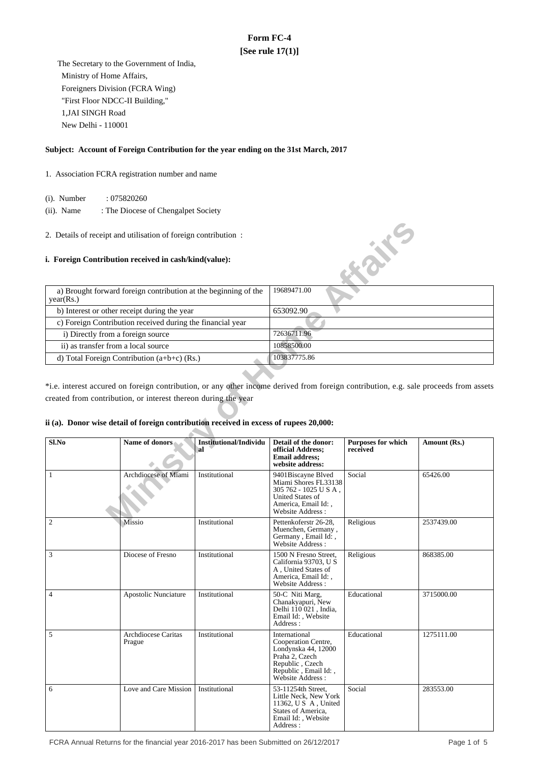# **Form FC-4 [See rule 17(1)]**

 The Secretary to the Government of India, Ministry of Home Affairs, Foreigners Division (FCRA Wing) "First Floor NDCC-II Building," 1,JAI SINGH Road New Delhi - 110001

### **Subject: Account of Foreign Contribution for the year ending on the 31st March, 2017**

- 1. Association FCRA registration number and name
	- (i). Number : 075820260
	- (ii). Name : The Diocese of Chengalpet Society
- 2. Details of receipt and utilisation of foreign contribution :

### **i. Foreign Contribution received in cash/kind(value):**

| a) Brought forward foreign contribution at the beginning of the<br>year(Rs.) | 19689471.00  |
|------------------------------------------------------------------------------|--------------|
| b) Interest or other receipt during the year                                 | 653092.90    |
| c) Foreign Contribution received during the financial year                   |              |
| i) Directly from a foreign source                                            | 72636711.96  |
| ii) as transfer from a local source                                          | 10858500.00  |
| d) Total Foreign Contribution $(a+b+c)$ (Rs.)                                | 103837775.86 |

## **ii (a). Donor wise detail of foreign contribution received in excess of rupees 20,000:**

| 2. Details of receipt and utilisation of foreign contribution :<br><b>Kaike</b> |                                                                                        |                                     |                                                                                                                                              |                                       |                                                                                                                                       |
|---------------------------------------------------------------------------------|----------------------------------------------------------------------------------------|-------------------------------------|----------------------------------------------------------------------------------------------------------------------------------------------|---------------------------------------|---------------------------------------------------------------------------------------------------------------------------------------|
|                                                                                 | i. Foreign Contribution received in cash/kind(value):                                  |                                     |                                                                                                                                              |                                       |                                                                                                                                       |
| year(Rs.)                                                                       | a) Brought forward foreign contribution at the beginning of the                        |                                     | 19689471.00                                                                                                                                  |                                       |                                                                                                                                       |
|                                                                                 | b) Interest or other receipt during the year                                           |                                     | 653092.90                                                                                                                                    |                                       |                                                                                                                                       |
|                                                                                 | c) Foreign Contribution received during the financial year                             |                                     |                                                                                                                                              |                                       |                                                                                                                                       |
| i) Directly from a foreign source                                               |                                                                                        |                                     | 72636711.96                                                                                                                                  |                                       |                                                                                                                                       |
| ii) as transfer from a local source                                             |                                                                                        |                                     | 10858500.00                                                                                                                                  |                                       |                                                                                                                                       |
|                                                                                 | d) Total Foreign Contribution (a+b+c) (Rs.)                                            |                                     | 103837775.86                                                                                                                                 |                                       |                                                                                                                                       |
|                                                                                 |                                                                                        |                                     |                                                                                                                                              |                                       |                                                                                                                                       |
|                                                                                 |                                                                                        |                                     |                                                                                                                                              |                                       | *i.e. interest accured on foreign contribution, or any other income derived from foreign contribution, e.g. sale proceeds from assets |
|                                                                                 | created from contribution, or interest thereon during the year                         |                                     |                                                                                                                                              |                                       |                                                                                                                                       |
|                                                                                 |                                                                                        |                                     |                                                                                                                                              |                                       |                                                                                                                                       |
|                                                                                 | ii (a). Donor wise detail of foreign contribution received in excess of rupees 20,000: |                                     |                                                                                                                                              |                                       |                                                                                                                                       |
|                                                                                 |                                                                                        |                                     |                                                                                                                                              |                                       |                                                                                                                                       |
| Sl.No                                                                           | <b>Name of donors</b>                                                                  | <b>Institutional/Individu</b><br>al | Detail of the donor:<br>official Address;<br><b>Email address:</b><br>website address:                                                       | <b>Purposes for which</b><br>received | Amount (Rs.)                                                                                                                          |
| 1                                                                               | Archdiocese of Miami                                                                   | Institutional                       | 9401Biscayne Blved<br>Miami Shores FL33138<br>305 762 - 1025 U S A,<br>United States of<br>America, Email Id:,<br>Website Address:           | Social                                | 65426.00                                                                                                                              |
| $\boldsymbol{2}$                                                                | Missio                                                                                 | Institutional                       | Pettenkoferstr 26-28,<br>Muenchen, Germany,<br>Germany, Email Id:,<br>Website Address:                                                       | Religious                             | 2537439.00                                                                                                                            |
| 3                                                                               | Diocese of Fresno                                                                      | Institutional                       | 1500 N Fresno Street,<br>California 93703, U S<br>A, United States of<br>America, Email Id:,<br>Website Address:                             | Religious                             | 868385.00                                                                                                                             |
| $\overline{4}$                                                                  | Apostolic Nunciature                                                                   | Institutional                       | 50-C Niti Marg,<br>Chanakyapuri, New<br>Delhi 110 021, India,<br>Email Id:, Website<br>Address :                                             | Educational                           | 3715000.00                                                                                                                            |
| 5                                                                               | Archdiocese Caritas<br>Prague                                                          | Institutional                       | International<br>Cooperation Centre,<br>Londynska 44, 12000<br>Praha 2, Czech<br>Republic, Czech<br>Republic, Email Id:,<br>Website Address: | Educational                           | 1275111.00                                                                                                                            |
| 6                                                                               | Love and Care Mission                                                                  | Institutional                       | 53-11254th Street,<br>Little Neck, New York<br>11362, U S A, United<br>States of America,<br>Email Id:, Website<br>Address :                 | Social                                | 283553.00                                                                                                                             |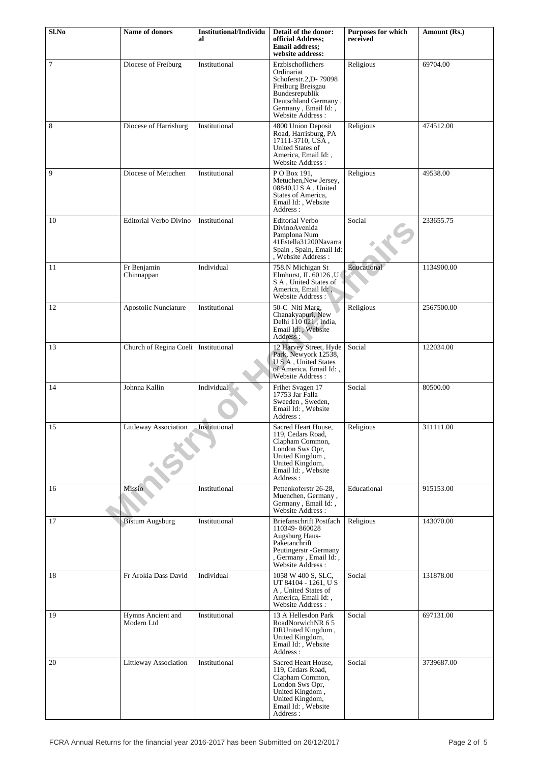| Sl.No  | <b>Name of donors</b>                  | <b>Institutional/Individu</b><br>al | Detail of the donor:<br>official Address;<br>Email address;<br>website address:                                                                                    | <b>Purposes for which</b><br>received | Amount (Rs.) |
|--------|----------------------------------------|-------------------------------------|--------------------------------------------------------------------------------------------------------------------------------------------------------------------|---------------------------------------|--------------|
| $\tau$ | Diocese of Freiburg                    | Institutional                       | Erzbischoflichers<br>Ordinariat<br>Schoferstr.2, D-79098<br>Freiburg Breisgau<br>Bundesrepublik<br>Deutschland Germany,<br>Germany, Email Id:,<br>Website Address: | Religious                             | 69704.00     |
| 8      | Diocese of Harrisburg                  | Institutional                       | 4800 Union Deposit<br>Road, Harrisburg, PA<br>17111-3710, USA,<br>United States of<br>America, Email Id:,<br>Website Address :                                     | Religious                             | 474512.00    |
| 9      | Diocese of Metuchen                    | Institutional                       | PO Box 191,<br>Metuchen, New Jersey,<br>08840, USA, United<br>States of America,<br>Email Id:, Website<br>Address:                                                 | Religious                             | 49538.00     |
| 10     | Editorial Verbo Divino                 | Institutional                       | <b>Editorial Verbo</b><br>DivinoAvenida<br>Pamplona Num<br>41Estella31200Navarra<br>Spain, Spain, Email Id:<br>, Website Address :                                 | Social                                | 233655.75    |
| 11     | Fr Benjamin<br>Chinnappan              | Individual                          | 758.N Michigan St<br>Elmhurst, IL $60126$ , U<br>S A, United States of<br>America, Email Id:,<br>Website Address:                                                  | Educational                           | 1134900.00   |
| 12     | Apostolic Nunciature                   | Institutional                       | 50-C Niti Marg,<br>Chanakyapuri, New<br>Delhi 110 021, India,<br>Email Id:, Website<br>Address:                                                                    | Religious                             | 2567500.00   |
| 13     | Church of Regina Coeli   Institutional |                                     | 12 Harvey Street, Hyde<br>Park, Newyork 12538,<br>U S A, United States<br>of America, Email Id:,<br>Website Address:                                               | Social                                | 122034.00    |
| 14     | Johnna Kallin                          | Individual                          | Frihet Svagen 17<br>17753 Jar Falla<br>Sweeden, Sweden,<br>Email Id:, Website<br>Address :                                                                         | Social                                | 80500.00     |
| 15     | Littleway Association                  | Institutional                       | Sacred Heart House,<br>119, Cedars Road,<br>Clapham Common,<br>London Sws Opr,<br>United Kingdom,<br>United Kingdom,<br>Email Id:, Website<br>Address:             | Religious                             | 311111.00    |
| 16     | Missio                                 | Institutional                       | Pettenkoferstr 26-28.<br>Muenchen, Germany,<br>Germany, Email Id:,<br>Website Address:                                                                             | Educational                           | 915153.00    |
| 17     | <b>Bistum Augsburg</b>                 | Institutional                       | Briefanschrift Postfach<br>110349-860028<br>Augsburg Haus-<br>Paketanchrift<br>Peutingerstr - Germany<br>, Germany, Email Id:,<br>Website Address:                 | Religious                             | 143070.00    |
| 18     | Fr Arokia Dass David                   | Individual                          | 1058 W 400 S, SLC,<br>UT 84104 - 1261, US<br>A, United States of<br>America, Email Id:,<br>Website Address:                                                        | Social                                | 131878.00    |
| 19     | Hymns Ancient and<br>Modern Ltd        | Institutional                       | 13 A Hellesdon Park<br>RoadNorwichNR 65<br>DRUnited Kingdom,<br>United Kingdom,<br>Email Id:, Website<br>Address:                                                  | Social                                | 697131.00    |
| 20     | Littleway Association                  | Institutional                       | Sacred Heart House,<br>119, Cedars Road,<br>Clapham Common,<br>London Sws Opr,<br>United Kingdom,<br>United Kingdom,<br>Email Id:, Website<br>Address:             | Social                                | 3739687.00   |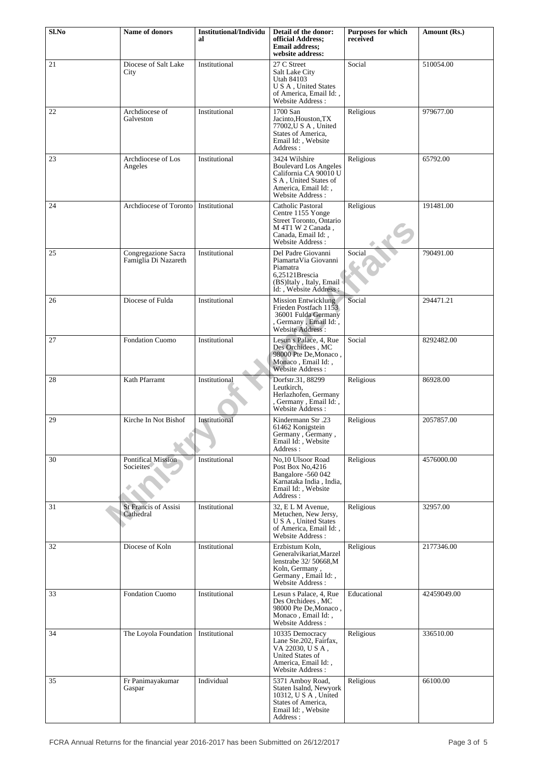| Sl.No  | Name of donors                              | <b>Institutional/Individu</b><br>al | Detail of the donor:<br>official Address;<br><b>Email address:</b><br>website address:                                                     | Purposes for which<br>received | Amount (Rs.) |
|--------|---------------------------------------------|-------------------------------------|--------------------------------------------------------------------------------------------------------------------------------------------|--------------------------------|--------------|
| 21     | Diocese of Salt Lake<br>City                | Institutional                       | 27 C Street<br>Salt Lake City<br>Utah 84103<br>U S A, United States<br>of America, Email Id:,<br>Website Address:                          | Social                         | 510054.00    |
| 22     | Archdiocese of<br>Galveston                 | Institutional                       | 1700 San<br>Jacinto, Houston, TX<br>77002, U S A, United<br>States of America,<br>Email Id:, Website<br>Address:                           | Religious                      | 979677.00    |
| 23     | Archdiocese of Los<br>Angeles               | Institutional                       | 3424 Wilshire<br><b>Boulevard Los Angeles</b><br>California CA 90010 U<br>S A, United States of<br>America, Email Id:,<br>Website Address: | Religious                      | 65792.00     |
| 24     | Archdiocese of Toronto                      | Institutional                       | Catholic Pastoral<br>Centre 1155 Yonge<br>Street Toronto, Ontario<br>M 4T1 W 2 Canada,<br>Canada, Email Id:,<br>Website Address:           | Religious                      | 191481.00    |
| 25     | Congregazione Sacra<br>Famiglia Di Nazareth | Institutional                       | Del Padre Giovanni<br>PiamartaVia Giovanni<br>Piamatra<br>6,25121Brescia<br>(BS)Italy, Italy, Email<br>Id: , Website Address :             | Social                         | 790491.00    |
| 26     | Diocese of Fulda                            | Institutional                       | <b>Mission Entwicklung</b><br>Frieden Postfach 1153<br>36001 Fulda Germany<br>, Germany, Email Id:,<br>Website Address:                    | Social                         | 294471.21    |
| $27\,$ | Fondation Cuomo                             | Institutional                       | Lesun s Palace, 4, Rue<br>Des Orchidees, MC<br>98000 Pte De, Monaco,<br>Monaco, Email Id:,<br>Website Address:                             | Social                         | 8292482.00   |
| 28     | Kath Pfarramt                               | Institutional                       | Dorfstr.31, 88299<br>Leutkirch,<br>Herlazhofen, Germany<br>Germany, Email Id:,<br>Website Address :                                        | Religious                      | 86928.00     |
| 29     | Kirche In Not Bishof                        | Institutional                       | Kindermann Str.23<br>61462 Konigstein<br>Germany, Germany,<br>Email Id:, Website<br>Address:                                               | Religious                      | 2057857.00   |
| 30     | Pontifical Mission<br>Socieites             | Institutional                       | No.10 Ulsoor Road<br>Post Box No, 4216<br>Bangalore -560 042<br>Karnataka India, India,<br>Email Id:, Website<br>Address:                  | Religious                      | 4576000.00   |
| 31     | <b>St Francis of Assisi</b><br>Cathedral    | Institutional                       | 32, ELM Avenue,<br>Metuchen, New Jersy,<br>U S A, United States<br>of America, Email Id:,<br>Website Address:                              | Religious                      | 32957.00     |
| 32     | Diocese of Koln                             | Institutional                       | Erzbistum Koln,<br>Generalvikariat, Marzel<br>lenstrabe 32/ 50668,M<br>Koln, Germany,<br>Germany, Email Id:,<br>Website Address :          | Religious                      | 2177346.00   |
| 33     | Fondation Cuomo                             | Institutional                       | Lesun s Palace, 4, Rue<br>Des Orchidees, MC<br>98000 Pte De, Monaco,<br>Monaco, Email Id:,<br>Website Address:                             | Educational                    | 42459049.00  |
| 34     | The Loyola Foundation                       | Institutional                       | 10335 Democracy<br>Lane Ste.202, Fairfax,<br>VA 22030, U S A,<br>United States of<br>America, Email Id:,<br>Website Address:               | Religious                      | 336510.00    |
| 35     | Fr Panimayakumar<br>Gaspar                  | Individual                          | 5371 Amboy Road,<br>Staten Isalnd, Newyork<br>10312, U S A, United<br>States of America,<br>Email Id:, Website<br>Address :                | Religious                      | 66100.00     |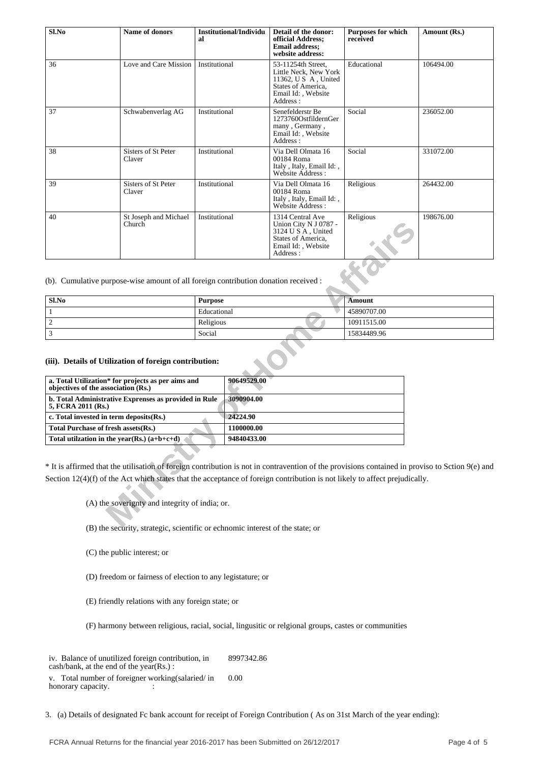| S1.No | Name of donors                  | Institutional/Individu<br>al | Detail of the donor:<br>official Address;<br><b>Email address;</b><br>website address:                                      | <b>Purposes for which</b><br>received | Amount (Rs.) |
|-------|---------------------------------|------------------------------|-----------------------------------------------------------------------------------------------------------------------------|---------------------------------------|--------------|
| 36    | Love and Care Mission           | Institutional                | 53-11254th Street,<br>Little Neck, New York<br>11362, U S A, United<br>States of America,<br>Email Id:, Website<br>Address: | Educational                           | 106494.00    |
| 37    | Schwabenverlag AG               | Institutional                | Senefelderstr Be<br>1273760OstfildernGer<br>many, Germany,<br>Email Id: , Website<br>Address:                               | Social                                | 236052.00    |
| 38    | Sisters of St Peter<br>Claver   | Institutional                | Via Dell Olmata 16<br>00184 Roma<br>Italy, Italy, Email Id:,<br>Website Address:                                            | Social                                | 331072.00    |
| 39    | Sisters of St Peter<br>Claver   | Institutional                | Via Dell Olmata 16<br>00184 Roma<br>Italy, Italy, Email Id:,<br>Website Address:                                            | Religious                             | 264432.00    |
| 40    | St Joseph and Michael<br>Church | Institutional                | 1314 Central Ave<br>Union City N J 0787 -<br>3124 U S A, United<br>States of America,<br>Email Id: , Website<br>Address:    | Religious                             | 198676.00    |

| Sl.No | <b>Purpose</b> | <b>Amount</b> |
|-------|----------------|---------------|
|       | Educational    | 45890707.00   |
|       | Religious      | 10911515.00   |
|       | Social         | 15834489.96   |

#### **(iii). Details of Utilization of foreign contribution:**

| Church                                                                                                                                                                                                                                                                                                    |                |                           | Union City N J 0787 -<br>3124 U S A, United<br>States of America.<br>Email Id:, Website<br>Address: |               |
|-----------------------------------------------------------------------------------------------------------------------------------------------------------------------------------------------------------------------------------------------------------------------------------------------------------|----------------|---------------------------|-----------------------------------------------------------------------------------------------------|---------------|
| (b). Cumulative purpose-wise amount of all foreign contribution donation received :                                                                                                                                                                                                                       |                |                           |                                                                                                     |               |
| S1.No                                                                                                                                                                                                                                                                                                     | <b>Purpose</b> |                           |                                                                                                     | <b>Amount</b> |
| $\mathbf{1}$                                                                                                                                                                                                                                                                                              | Educational    |                           |                                                                                                     | 45890707.00   |
| $\overline{c}$                                                                                                                                                                                                                                                                                            | Religious      |                           |                                                                                                     | 10911515.00   |
| 3                                                                                                                                                                                                                                                                                                         | Social         |                           |                                                                                                     | 15834489.96   |
| a. Total Utilization* for projects as per aims and<br>objectives of the association (Rs.)<br>b. Total Administrative Exprenses as provided in Rule<br>5, FCRA 2011 (Rs.)                                                                                                                                  |                | 90649529.00<br>3090904.00 |                                                                                                     |               |
| c. Total invested in term deposits(Rs.)                                                                                                                                                                                                                                                                   |                | 24224.90<br>1100000.00    |                                                                                                     |               |
| Total Purchase of fresh assets(Rs.)<br>Total utilization in the year(Rs.) $(a+b+c+d)$                                                                                                                                                                                                                     |                | 94840433.00               |                                                                                                     |               |
| * It is affirmed that the utilisation of foreign contribution is not in contravention of the provisions contained in prov<br>Section $12(4)(f)$ of the Act which states that the acceptance of foreign contribution is not likely to affect prejudicall<br>(A) the soverignty and integrity of india; or. |                |                           |                                                                                                     |               |
| $(D)$ the computer strategic covertific or cohnomic interest of the states or                                                                                                                                                                                                                             |                |                           |                                                                                                     |               |

\* It is affirmed that the utilisation of foreign contribution is not in contravention of the provisions contained in proviso to Sction 9(e) and Section 12(4)(f) of the Act which states that the acceptance of foreign contribution is not likely to affect prejudically.

(B) the security, strategic, scientific or echnomic interest of the state; or

(C) the public interest; or

(D) freedom or fairness of election to any legistature; or

(E) friendly relations with any foreign state; or

(F) harmony between religious, racial, social, lingusitic or relgional groups, castes or communities

iv. Balance of unutilized foreign contribution, in cash/bank, at the end of the year(Rs.) : 8997342.86

v. Total number of foreigner working(salaried/ in honorary capacity.  $\qquad \qquad$ : 0.00

3. (a) Details of designated Fc bank account for receipt of Foreign Contribution ( As on 31st March of the year ending):